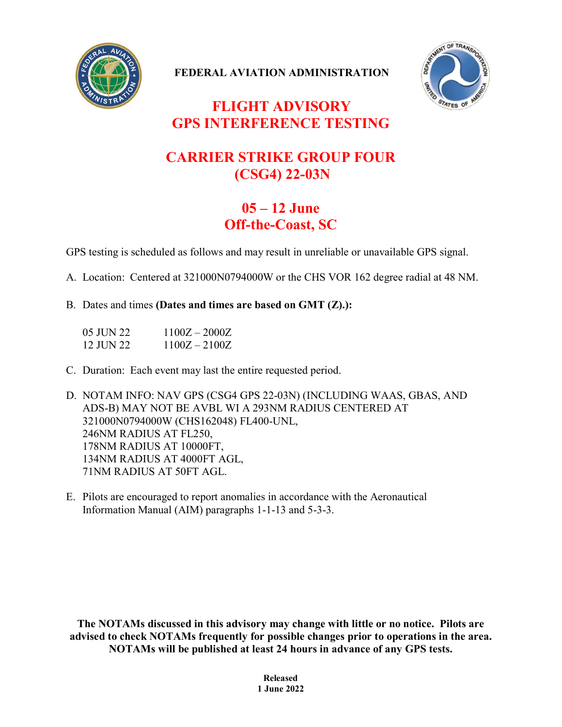

**FEDERAL AVIATION ADMINISTRATION**



## **FLIGHT ADVISORY GPS INTERFERENCE TESTING**

## **CARRIER STRIKE GROUP FOUR (CSG4) 22-03N**

## **05 – 12 June Off-the-Coast, SC**

GPS testing is scheduled as follows and may result in unreliable or unavailable GPS signal.

A. Location: Centered at 321000N0794000W or the CHS VOR 162 degree radial at 48 NM.

B. Dates and times **(Dates and times are based on GMT (Z).):**

| 05 JUN 22 | $1100Z - 2000Z$ |
|-----------|-----------------|
| 12 JUN 22 | $1100Z - 2100Z$ |

C. Duration: Each event may last the entire requested period.

D. NOTAM INFO: NAV GPS (CSG4 GPS 22-03N) (INCLUDING WAAS, GBAS, AND ADS-B) MAY NOT BE AVBL WI A 293NM RADIUS CENTERED AT 321000N0794000W (CHS162048) FL400-UNL, 246NM RADIUS AT FL250, 178NM RADIUS AT 10000FT, 134NM RADIUS AT 4000FT AGL, 71NM RADIUS AT 50FT AGL.

E. Pilots are encouraged to report anomalies in accordance with the Aeronautical Information Manual (AIM) paragraphs 1-1-13 and 5-3-3.

**The NOTAMs discussed in this advisory may change with little or no notice. Pilots are advised to check NOTAMs frequently for possible changes prior to operations in the area. NOTAMs will be published at least 24 hours in advance of any GPS tests.**

> **Released 1 June 2022**